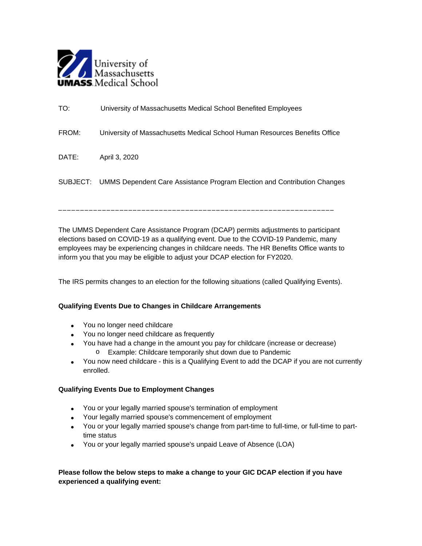

| TO:   | University of Massachusetts Medical School Benefited Employees                    |
|-------|-----------------------------------------------------------------------------------|
| FROM: | University of Massachusetts Medical School Human Resources Benefits Office        |
| DATE: | April 3, 2020                                                                     |
|       | SUBJECT: UMMS Dependent Care Assistance Program Election and Contribution Changes |

The UMMS Dependent Care Assistance Program (DCAP) permits adjustments to participant elections based on COVID-19 as a qualifying event. Due to the COVID-19 Pandemic, many employees may be experiencing changes in childcare needs. The HR Benefits Office wants to inform you that you may be eligible to adjust your DCAP election for FY2020.

\_\_\_\_\_\_\_\_\_\_\_\_\_\_\_\_\_\_\_\_\_\_\_\_\_\_\_\_\_\_\_\_\_\_\_\_\_\_\_\_\_\_\_\_\_\_\_\_\_\_\_\_\_\_\_\_\_\_\_\_\_\_\_

The IRS permits changes to an election for the following situations (called Qualifying Events).

## **Qualifying Events Due to Changes in Childcare Arrangements**

- You no longer need childcare
- You no longer need childcare as frequently
- You have had a change in the amount you pay for childcare (increase or decrease) o Example: Childcare temporarily shut down due to Pandemic
- You now need childcare this is a Qualifying Event to add the DCAP if you are not currently enrolled.

## **Qualifying Events Due to Employment Changes**

- You or your legally married spouse's termination of employment
- Your legally married spouse's commencement of employment
- You or your legally married spouse's change from part-time to full-time, or full-time to parttime status
- You or your legally married spouse's unpaid Leave of Absence (LOA)

## **Please follow the below steps to make a change to your GIC DCAP election if you have experienced a qualifying event:**